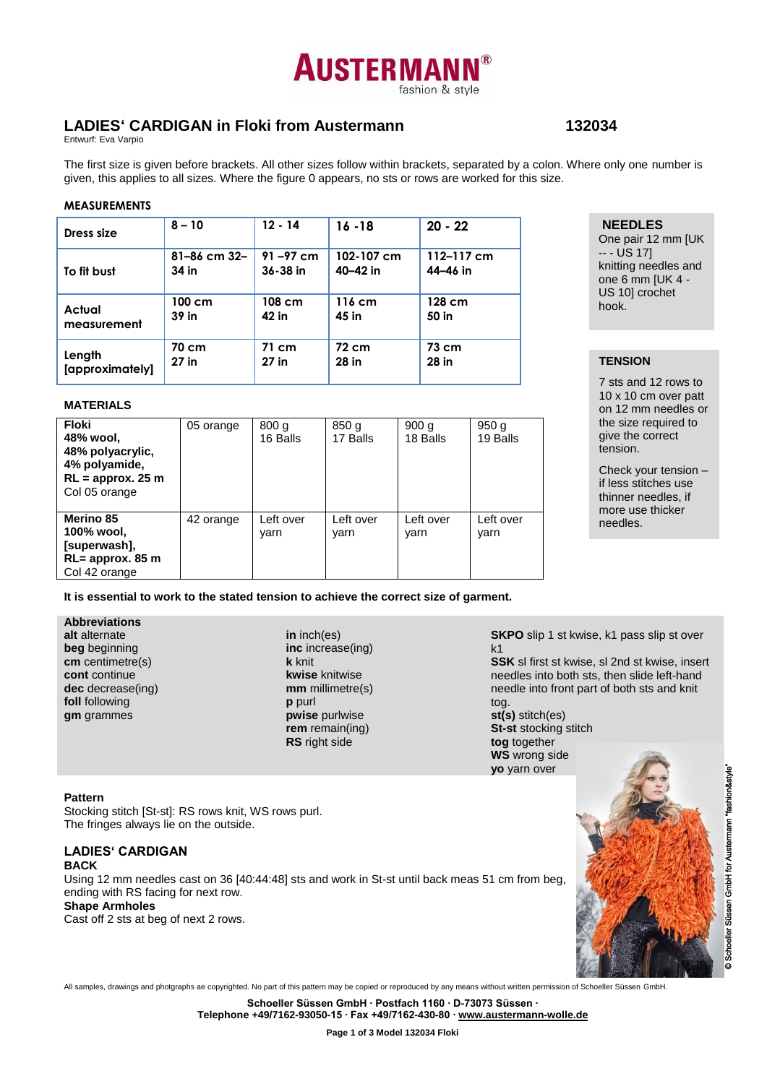# **AUSTERMAN** fashion & style

# **LADIES' CARDIGAN in Floki from Austermann 132034**

**NEEDLES** One pair 12 mm [UK

knitting needles and one 6 mm [UK 4 - US 10] crochet

7 sts and 12 rows to 10 x 10 cm over patt on 12 mm needles or the size required to give the correct tension.

Check your tension – if less stitches use thinner needles, if more use thicker

 $- -$  US 17]

hook.

**TENSION**

needles.

Entwurf: Eva Varpio

The first size is given before brackets. All other sizes follow within brackets, separated by a colon. Where only one number is given, this applies to all sizes. Where the figure 0 appears, no sts or rows are worked for this size.

#### **MEASUREMENTS**

| Dress size      | $8 - 10$         | $12 - 14$    | $16 - 18$        | $20 - 22$  |
|-----------------|------------------|--------------|------------------|------------|
| To fit bust     | 81-86 cm 32-     | $91 - 97$ cm | 102-107 cm       | 112-117 cm |
|                 | 34 in            | 36-38 in     | 40-42 in         | 44-46 in   |
| Actual          | $100 \text{ cm}$ | 108 cm       | $116 \text{ cm}$ | 128 cm     |
| measurement     | 39 in            | 42 in        | 45 in            | 50 in      |
| Length          | 70 cm            | 71 cm        | 72 cm            | 73 cm      |
| [approximately] | $27$ in          | $27$ in      | 28 in            | 28 in      |

#### **MATERIALS**

| <b>Floki</b><br>48% wool,<br>48% polyacrylic,<br>4% polyamide,<br>$RL =$ approx. 25 m<br>Col 05 orange | 05 orange | 800q<br>16 Balls  | 850 g<br>17 Balls | 900q<br>18 Balls  | 950 g<br>19 Balls |
|--------------------------------------------------------------------------------------------------------|-----------|-------------------|-------------------|-------------------|-------------------|
| Merino 85<br>100% wool,<br>[superwash],<br>RL= approx. 85 m<br>Col 42 orange                           | 42 orange | Left over<br>varn | Left over<br>varn | Left over<br>varn | Left over<br>varn |

**It is essential to work to the stated tension to achieve the correct size of garment.**

#### **Abbreviations**

**alt** alternate **beg** beginning **cm** centimetre(s) **cont** continue **dec** decrease(ing) **foll** following **gm** grammes

**in** inch(es) **inc** increase(ing) **k** knit **kwise** knitwise **mm** millimetre(s) **p** purl **pwise** purlwise **rem** remain(ing) **RS** right side

**SKPO** slip 1 st kwise, k1 pass slip st over k1

**SSK** sl first st kwise, sl 2nd st kwise, insert needles into both sts, then slide left-hand needle into front part of both sts and knit

tog. **st(s)** stitch(es) **St-st** stocking stitch **tog** together **WS** wrong side **yo** yarn over

#### **Pattern**

Stocking stitch [St-st]: RS rows knit, WS rows purl. The fringes always lie on the outside.

#### **LADIES' CARDIGAN BACK**

Using 12 mm needles cast on 36 [40:44:48] sts and work in St-st until back meas 51 cm from beg, ending with RS facing for next row.

#### **Shape Armholes**

Cast off 2 sts at beg of next 2 rows.



All samples, drawings and photgraphs ae copyrighted. No part of this pattern may be copied or reproduced by any means without written permission of Schoeller Süssen GmbH.

**Schoeller Süssen GmbH ∙ Postfach 1160 ∙ D-73073 Süssen ∙**

**Telephone +49/7162-93050-15 ∙ Fax +49/7162-430-80 ∙ [www.austermann-wolle.de](http://www.austermann-wolle.de/)**

**Page 1 of 3 Model 132034 Floki**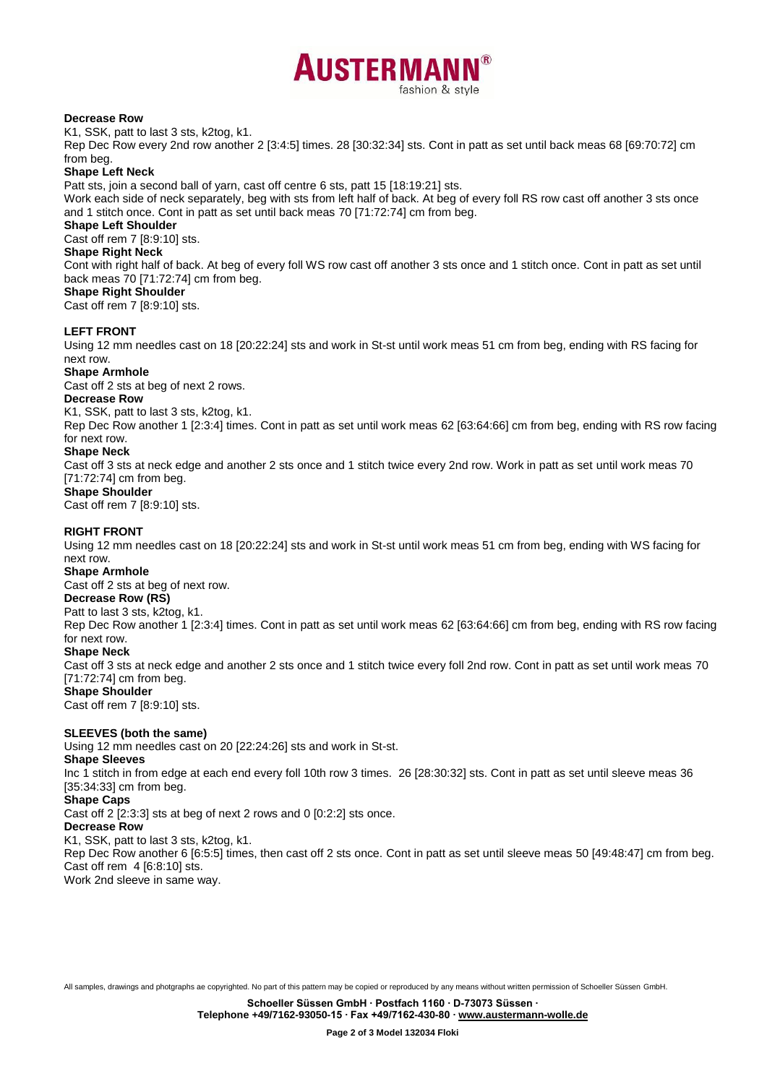

#### **Decrease Row**

K1, SSK, patt to last 3 sts, k2tog, k1.

Rep Dec Row every 2nd row another 2 [3:4:5] times. 28 [30:32:34] sts. Cont in patt as set until back meas 68 [69:70:72] cm from beg.

#### **Shape Left Neck**

Patt sts, join a second ball of yarn, cast off centre 6 sts, patt 15 [18:19:21] sts.

Work each side of neck separately, beg with sts from left half of back. At beg of every foll RS row cast off another 3 sts once and 1 stitch once. Cont in patt as set until back meas 70 [71:72:74] cm from beg.

# **Shape Left Shoulder**

Cast off rem 7 [8:9:10] sts.

# **Shape Right Neck**

Cont with right half of back. At beg of every foll WS row cast off another 3 sts once and 1 stitch once. Cont in patt as set until back meas 70 [71:72:74] cm from beg.

# **Shape Right Shoulder**

Cast off rem 7 [8:9:10] sts.

#### **LEFT FRONT**

Using 12 mm needles cast on 18 [20:22:24] sts and work in St-st until work meas 51 cm from beg, ending with RS facing for next row.

#### **Shape Armhole**

Cast off 2 sts at beg of next 2 rows.

#### **Decrease Row**

K1, SSK, patt to last 3 sts, k2tog, k1.

Rep Dec Row another 1 [2:3:4] times. Cont in patt as set until work meas 62 [63:64:66] cm from beg, ending with RS row facing for next row.

#### **Shape Neck**

Cast off 3 sts at neck edge and another 2 sts once and 1 stitch twice every 2nd row. Work in patt as set until work meas 70 [71:72:74] cm from beg.

#### **Shape Shoulder**

Cast off rem 7 [8:9:10] sts.

#### **RIGHT FRONT**

Using 12 mm needles cast on 18 [20:22:24] sts and work in St-st until work meas 51 cm from beg, ending with WS facing for next row.

## **Shape Armhole**

Cast off 2 sts at beg of next row.

#### **Decrease Row (RS)**

Patt to last 3 sts, k2tog, k1.

Rep Dec Row another 1 [2:3:4] times. Cont in patt as set until work meas 62 [63:64:66] cm from beg, ending with RS row facing for next row.

#### **Shape Neck**

Cast off 3 sts at neck edge and another 2 sts once and 1 stitch twice every foll 2nd row. Cont in patt as set until work meas 70 [71:72:74] cm from beg.

#### **Shape Shoulder**

Cast off rem 7 [8:9:10] sts.

#### **SLEEVES (both the same)**

Using 12 mm needles cast on 20 [22:24:26] sts and work in St-st.

#### **Shape Sleeves**

Inc 1 stitch in from edge at each end every foll 10th row 3 times. 26 [28:30:32] sts. Cont in patt as set until sleeve meas 36 [35:34:33] cm from beg.

### **Shape Caps**

Cast off 2 [2:3:3] sts at beg of next 2 rows and 0 [0:2:2] sts once.

#### **Decrease Row**

K1, SSK, patt to last 3 sts, k2tog, k1.

Rep Dec Row another 6 [6:5:5] times, then cast off 2 sts once. Cont in patt as set until sleeve meas 50 [49:48:47] cm from beg. Cast off rem 4 [6:8:10] sts.

Work 2nd sleeve in same way.

All samples, drawings and photgraphs ae copyrighted. No part of this pattern may be copied or reproduced by any means without written permission of Schoeller Süssen GmbH.

**Schoeller Süssen GmbH ∙ Postfach 1160 ∙ D-73073 Süssen ∙**

**Telephone +49/7162-93050-15 ∙ Fax +49/7162-430-80 ∙ [www.austermann-wolle.de](http://www.austermann-wolle.de/)**